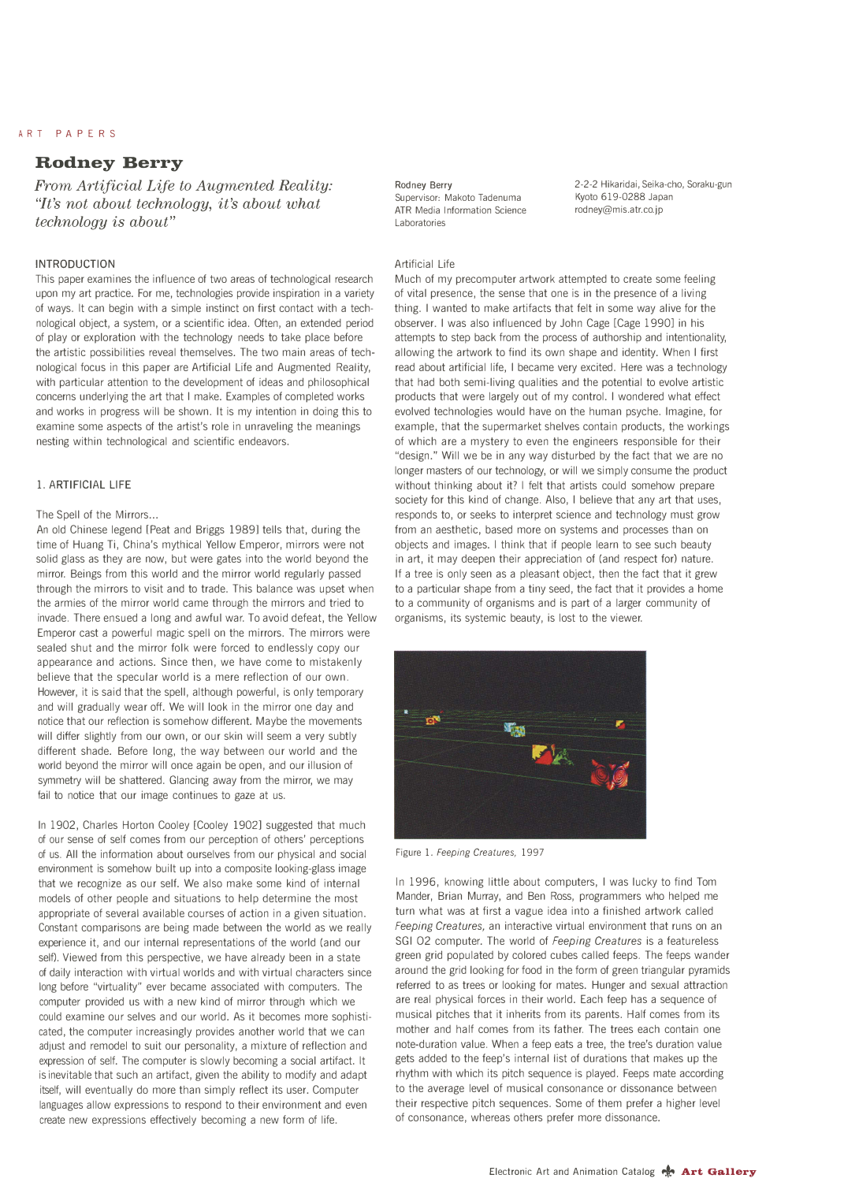# ART PAPERS

# **Rodney Berry**

*From Artificial Life to Augmented Reality: "It's not about technology, it's about what technology is about"* 

# **INTRODUCTION**

This paper examines the influence of two areas of technological research upon my art practice. For me, technologies provide inspiration in a variety of ways. It can begin with a simple instinct on first contact with a technological object, a system, or a scientific idea. Often, an extended period of play or exploration with the technology needs to take place before the artistic possibilities reveal themselves. The two main areas of technological focus in this paper are Artificial Life and Augmented Reality, with particular attention to the development of ideas and philosophical concerns underlying the art that I make. Examples of completed works and works in progress will be shown. It is my intention in doing this to examine some aspects of the artist's role in unraveling the meanings nesting within technological and scientific endeavors.

# 1. ARTIFICIAL LIFE

#### The Spell of the Mirrors...

An old Chinese legend [Peat and Briggs 1989] tells that, during the time of Huang Ti, China's mythical Yellow Emperor, mirrors were not solid glass as they are now, but were gates into the world beyond the mirror. Beings from this world and the mirror world regularly passed through the mirrors to visit and to trade. This balance was upset when the armies of the mirror world came through the mirrors and tried to invade. There ensued a long and awful war. To avoid defeat, the Yellow Emperor cast a powerful magic spell on the mirrors. The mirrors were sealed shut and the mirror folk were forced to endlessly copy our appearance and actions. Since then, we have come to mistakenly believe that the specular world is a mere reflection of our own. However, it is said that the spell, although powerful, is only temporary and will gradually wear off. We will look in the mirror one day and notice that our reflection is somehow different. Maybe the movements will differ slightly from our own, or our skin will seem a very subtly different shade. Before long, the way between our world and the world beyond the mirror will once again be open, and our illusion of symmetry will be shattered. Glancing away from the mirror, we may fail to notice that our image continues to gaze at us.

In 1902, Charles Horton Cooley [Cooley 1902] suggested that much of our sense of self comes from our perception of others' perceptions of us. All the information about ourselves from our physical and social environment is somehow built up into a composite looking-glass image that we recognize as our self. We also make some kind of internal models of other people and situations to help determine the most appropriate of several available courses of action in a given situation. Constant comparisons are being made between the world as we really experience it, and our internal representations of the world (and our self). Viewed from this perspective, we have already been in a state of daily interaction with virtual worlds and with virtual characters since long before "virtuality" ever became associated with computers. The computer provided us with a new kind of mirror through which we could examine our selves and our world. As it becomes more sophisticated, the computer increasingly provides another world that we can adjust and remodel to suit our personality, a mixture of reflection and expression of self. The computer is slowly becoming a social artifact. It is inevitable that such an artifact, given the ability to modify and adapt itself, will eventually do more than simply reflect its user. Computer languages allow expressions to respond to their environment and even create new expressions effectively becoming a new form of life.

#### **Rodney Berry**

Supervisor: Makoto Tadenuma ATR Media Information Science Laboratories

2-2-2 Hikaridai, Seika-cho, Soraku-gun Kyoto 619-0288 Japan rodney@mis.atr.co.jp

### Artificial Life

Much of my precomputer artwork attempted to create some feeling of vital presence, the sense that one is in the presence of a living thing. I wanted to make artifacts that felt in some way alive for the observer. I was also influenced by John Cage [Cage 1990] in his attempts to step back from the process of authorship and intentionality, allowing the artwork to find its own shape and identity. When I first read about artificial life, I became very excited. Here was a technology that had both semi-living qualities and the potential to evolve artistic products that were largely out of my control. I wondered what effect evolved technologies would have on the human psyche. Imagine, for example, that the supermarket shelves contain products, the workings of which are a mystery to even the engineers responsible for their "design." Will we be in any way disturbed by the fact that we are no longer masters of our technology, or will we simply consume the product without thinking about it? I felt that artists could somehow prepare society for this kind of change. Also, I believe that any art that uses, responds to, or seeks to interpret science and technology must grow from an aesthetic, based more on systems and processes than on objects and images. I think that if people learn to see such beauty in art, it may deepen their appreciation of (and respect for) nature. If a tree is only seen as a pleasant object, then the fact that it grew to a particular shape from a tiny seed, the fact that it provides a home to a community of organisms and is part of a larger community of organisms, its systemic beauty, is lost to the viewer.



Figure 1. *Feeping Creatures,* 1997

In 1996, knowing little about computers, I was lucky to find Tom Mander, Brian Murray, and Ben Ross, programmers who helped me turn what was at first a vague idea into a finished artwork called *Feeping Creatures,* an interactive virtual environment that runs on an SGI 02 computer. The world of *Feeping Creatures* is a featureless green grid populated by colored cubes called feeps. The feeps wander around the grid looking for food in the form of green triangular pyramids referred to as trees or looking for mates. Hunger and sexual attraction are real physical forces in their world. Each feep has a sequence of musical pitches that it inherits from its parents. Half comes from its mother and half comes from its father. The trees each contain one note-duration value. When a feep eats a tree, the tree's duration value gets added to the feep's internal list of durations that makes up the rhythm with which its pitch sequence is played. Feeps mate according to the average level of musical consonance or dissonance between their respective pitch sequences. Some of them prefer a higher level of consonance, whereas others prefer more dissonance.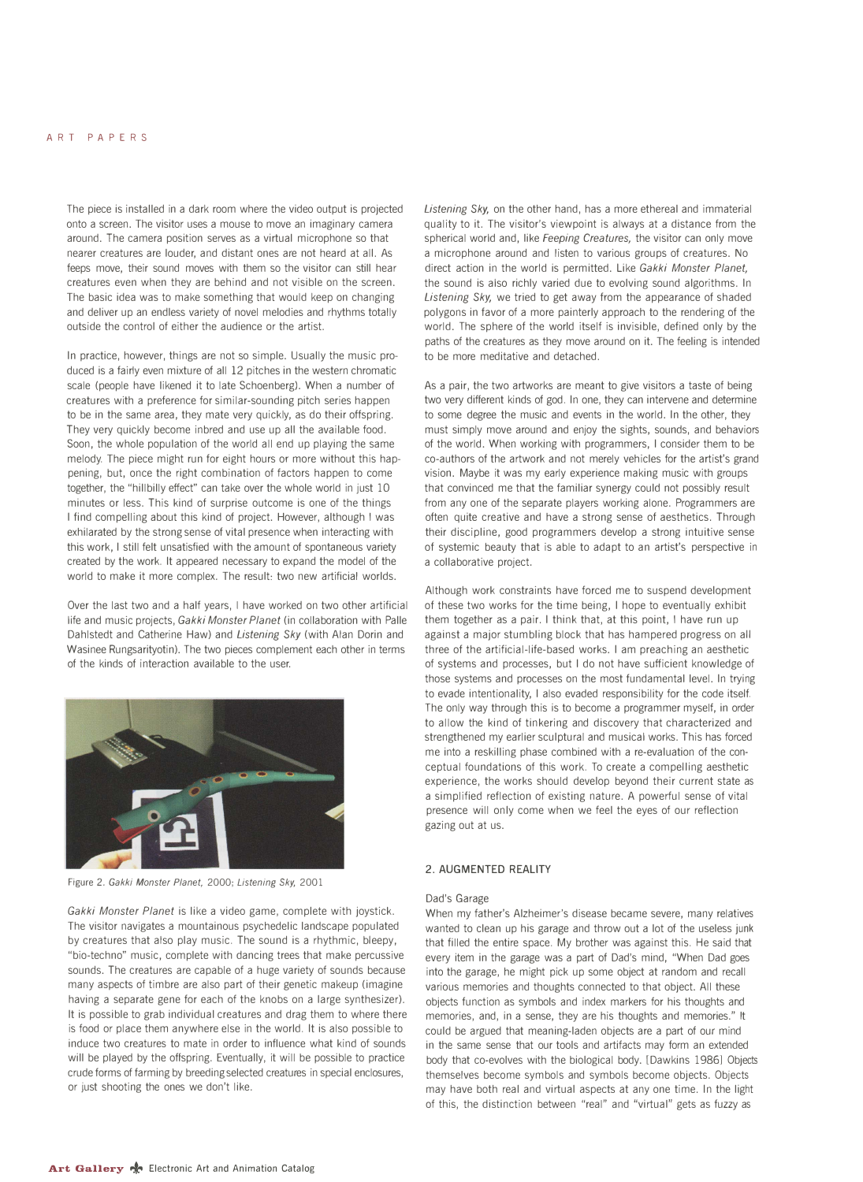# ART PAPERS

The piece is installed in a dark room where the video output is projected onto a screen. The visitor uses a mouse to move an imaginary camera around. The camera position serves as a virtual microphone so that nearer creatures are louder, and distant ones are not heard at all. As feeps move, their sound moves with them so the visitor can still hear creatures even when they are behind and not visible on the screen. The basic idea was to make something that would keep on changing and deliver up an endless variety of novel melodies and rhythms totally outside the control of either the audience or the artist.

In practice, however, things are not so simple. Usually the music produced is a fairly even mixture of all 12 pitches in the western chromatic scale (people have likened it to late Schoenberg). When a number of creatures with a preference for similar-sounding pitch series happen to be in the same area, they mate very quickly, as do their offspring. They very quickly become inbred and use up all the available food. Soon, the whole population of the world all end up playing the same melody. The piece might run for eight hours or more without this happening, but, once the right combination of factors happen to come together, the "hillbilly effect" can take over the whole world in just 10 minutes or less. This kind of surprise outcome is one of the things I find compelling about this kind of project. However, although I was exhilarated by the strong sense of vital presence when interacting with this work, I still felt unsatisfied with the amount of spontaneous variety created by the work. It appeared necessary to expand the model of the world to make it more complex. The result: two new artificial worlds.

Over the last two and a half years, I have worked on two other artificial life and music projects, *Gakki Monster Planet* (in collaboration with Palle Dahlstedt and Catherine Haw) and *Listening Sky* (with Alan Dorin and Wasinee Rungsarityotin). The two pieces complement each other in terms of the kinds of interaction available to the user.



Figure 2. *Gakki Monster Planet,* 2000; *Listening Sky,* 2001

*Gakki Monster Planet* is like a video game, complete with joystick. The visitor navigates a mountainous psychedelic landscape populated by creatures that also play music. The sound is a rhythmic, bleepy, "bio-techno" music, complete with dancing trees that make percussive sounds. The creatures are capable of a huge variety of sounds because many aspects of timbre are also part of their genetic makeup (imagine having a separate gene for each of the knobs on a large synthesizer). It is possible to grab individual creatures and drag them to where there is food or place them anywhere else in the world. It is also possible to induce two creatures to mate in order to influence what kind of sounds will be played by the offspring. Eventually, it will be possible to practice crude forms of farming by breeding selected creatures in special enclosures, or just shooting the ones we don't like.

*Listening Sky,* on the other hand, has a more ethereal and immaterial quality to it. The visitor's viewpoint is always at a distance from the spherical world and, like *Feeping Creatures,* the visitor can only move a microphone around and listen to various groups of creatures. No direct action in the world is permitted. Like *Gakki Monster Planet,*  the sound is also richly varied due to evolving sound algorithms. In *Listening Sky,* we tried to get away from the appearance of shaded polygons in favor of a more painterly approach to the rendering of the world. The sphere of the world itself is invisible, defined only by the paths of the creatures as they move around on it. The feeling is intended to be more meditative and detached.

As a pair, the two artworks are meant to give visitors a taste of being two very different kinds of god. In one, they can intervene and determine to some degree the music and events in the world. In the other, they must simply move around and enjoy the sights, sounds, and behaviors of the world. When working with programmers, I consider them to be co-authors of the artwork and not merely vehicles for the artist's grand vision. Maybe it was my early experience making music with groups that convinced me that the familiar synergy could not possibly result from any one of the separate players working alone. Programmers are often quite creative and have a strong sense of aesthetics. Through their discipline, good programmers develop a strong intuitive sense of systemic beauty that is able to adapt to an artist's perspective in a collaborative project.

Although work constraints have forced me to suspend development of these two works for the time being, I hope to eventually exhibit them together as a pair. I think that, at this point, I have run up against a major stumbling block that has hampered progress on all three of the artificial-life-based works. I am preaching an aesthetic of systems and processes, but I do not have sufficient knowledge of those systems and processes on the most fundamental level. In trying to evade intentionality, I also evaded responsibility for the code itself. The only way through this is to become a programmer myself, in order to allow the kind of tinkering and discovery that characterized and strengthened my earlier sculptural and musical works. This has forced me into a reskilling phase combined with a re-evaluation of the conceptual foundations of this work. To create a compelling aesthetic experience, the works should develop beyond their current state as a simplified reflection of existing nature. A powerful sense of vital presence will only come when we feel the eyes of our reflection gazing out at us.

#### **2. AUGMENTED REALITY**

#### Dad's Garage

When my father's Alzheimer's disease became severe, many relatives wanted to clean up his garage and throw out a lot of the useless junk that filled the entire space. My brother was against this. He said that every item in the garage was a part of Dad's mind, "When Dad goes into the garage, he might pick up some object at random and recall various memories and thoughts connected to that object. All these objects function as symbols and index markers for his thoughts and memories, and, in a sense, they are his thoughts and memories." It could be argued that meaning-laden objects are a part of our mind in the same sense that our tools and artifacts may form an extended body that co-evolves with the biological body. [Dawkins 1986] Objects themselves become symbols and symbols become objects. Objects may have both real and virtual aspects at any one time. In the light of this, the distinction between "real" and "virtual" gets as fuzzy as